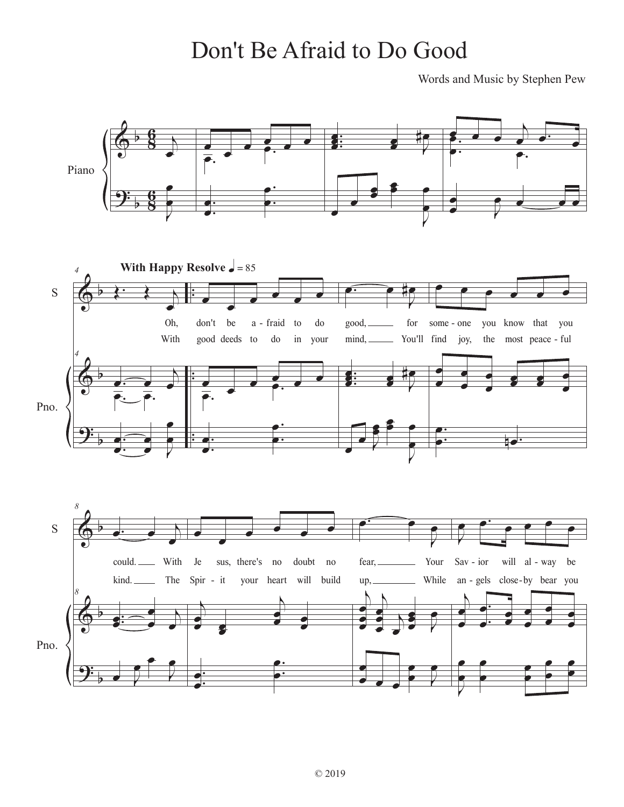## Don't Be Afraid to Do Good

Words and Music by Stephen Pew